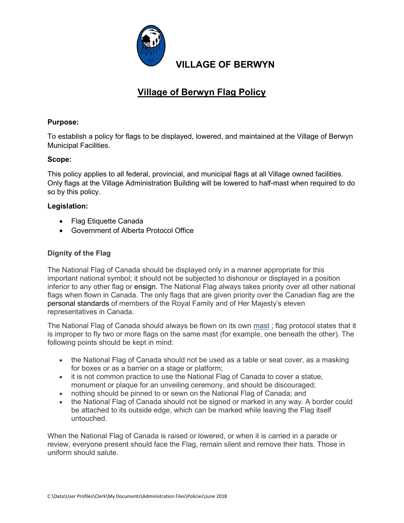

## Village of Berwyn Flag Policy

#### Purpose:

To establish a policy for flags to be displayed, lowered, and maintained at the Village of Berwyn Municipal Facilities.

#### Scope:

This policy applies to all federal, provincial, and municipal flags at all Village owned facilities. Only flags at the Village Administration Building will be lowered to half-mast when required to do so by this policy.

#### Legislation:

- Flag Etiquette Canada
- Government of Alberta Protocol Office

### Dignity of the Flag

The National Flag of Canada should be displayed only in a manner appropriate for this important national symbol; it should not be subjected to dishonour or displayed in a position inferior to any other flag or ensign. The National Flag always takes priority over all other national flags when flown in Canada. The only flags that are given priority over the Canadian flag are the personal standards of members of the Royal Family and of Her Majesty's eleven representatives in Canada.

The National Flag of Canada should always be flown on its own mast ; flag protocol states that it is improper to fly two or more flags on the same mast (for example, one beneath the other). The following points should be kept in mind:

- the National Flag of Canada should not be used as a table or seat cover, as a masking for boxes or as a barrier on a stage or platform;
- it is not common practice to use the National Flag of Canada to cover a statue, monument or plaque for an unveiling ceremony, and should be discouraged;
- nothing should be pinned to or sewn on the National Flag of Canada; and
- the National Flag of Canada should not be signed or marked in any way. A border could be attached to its outside edge, which can be marked while leaving the Flag itself untouched.

When the National Flag of Canada is raised or lowered, or when it is carried in a parade or review, everyone present should face the Flag, remain silent and remove their hats. Those in uniform should salute.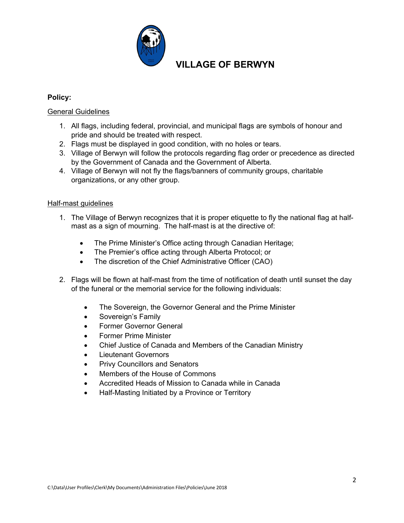

## VILLAGE OF BERWYN

#### Policy:

#### General Guidelines

- 1. All flags, including federal, provincial, and municipal flags are symbols of honour and pride and should be treated with respect.
- 2. Flags must be displayed in good condition, with no holes or tears.
- 3. Village of Berwyn will follow the protocols regarding flag order or precedence as directed by the Government of Canada and the Government of Alberta.
- 4. Village of Berwyn will not fly the flags/banners of community groups, charitable organizations, or any other group.

#### Half-mast guidelines

- 1. The Village of Berwyn recognizes that it is proper etiquette to fly the national flag at halfmast as a sign of mourning. The half-mast is at the directive of:
	- The Prime Minister's Office acting through Canadian Heritage;
	- The Premier's office acting through Alberta Protocol; or
	- The discretion of the Chief Administrative Officer (CAO)
- 2. Flags will be flown at half-mast from the time of notification of death until sunset the day of the funeral or the memorial service for the following individuals:
	- The Sovereign, the Governor General and the Prime Minister
	- Sovereign's Family
	- Former Governor General
	- Former Prime Minister
	- Chief Justice of Canada and Members of the Canadian Ministry
	- Lieutenant Governors
	- Privy Councillors and Senators
	- Members of the House of Commons
	- Accredited Heads of Mission to Canada while in Canada
	- Half-Masting Initiated by a Province or Territory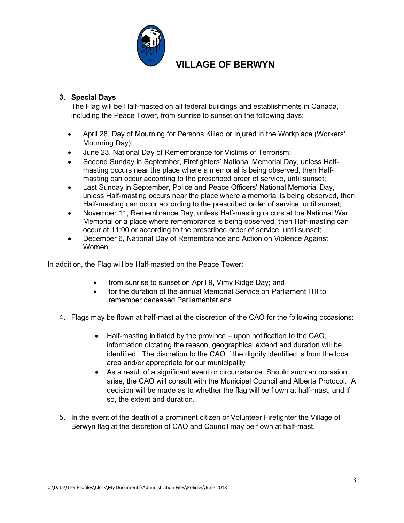

# VILLAGE OF BERWYN

### 3. Special Days

The Flag will be Half-masted on all federal buildings and establishments in Canada, including the Peace Tower, from sunrise to sunset on the following days:

- April 28, Day of Mourning for Persons Killed or Injured in the Workplace (Workers' Mourning Day);
- June 23, National Day of Remembrance for Victims of Terrorism;
- Second Sunday in September, Firefighters' National Memorial Day, unless Halfmasting occurs near the place where a memorial is being observed, then Halfmasting can occur according to the prescribed order of service, until sunset;
- Last Sunday in September, Police and Peace Officers' National Memorial Day, unless Half-masting occurs near the place where a memorial is being observed, then Half-masting can occur according to the prescribed order of service, until sunset;
- November 11, Remembrance Day, unless Half-masting occurs at the National War Memorial or a place where remembrance is being observed, then Half-masting can occur at 11:00 or according to the prescribed order of service, until sunset;
- December 6, National Day of Remembrance and Action on Violence Against Women.

In addition, the Flag will be Half-masted on the Peace Tower:

- from sunrise to sunset on April 9, Vimy Ridge Day; and
- for the duration of the annual Memorial Service on Parliament Hill to remember deceased Parliamentarians.
- 4. Flags may be flown at half-mast at the discretion of the CAO for the following occasions:
	- Half-masting initiated by the province upon notification to the CAO, information dictating the reason, geographical extend and duration will be identified. The discretion to the CAO if the dignity identified is from the local area and/or appropriate for our municipality
	- As a result of a significant event or circumstance. Should such an occasion arise, the CAO will consult with the Municipal Council and Alberta Protocol. A decision will be made as to whether the flag will be flown at half-mast, and if so, the extent and duration.
- 5. In the event of the death of a prominent citizen or Volunteer Firefighter the Village of Berwyn flag at the discretion of CAO and Council may be flown at half-mast.